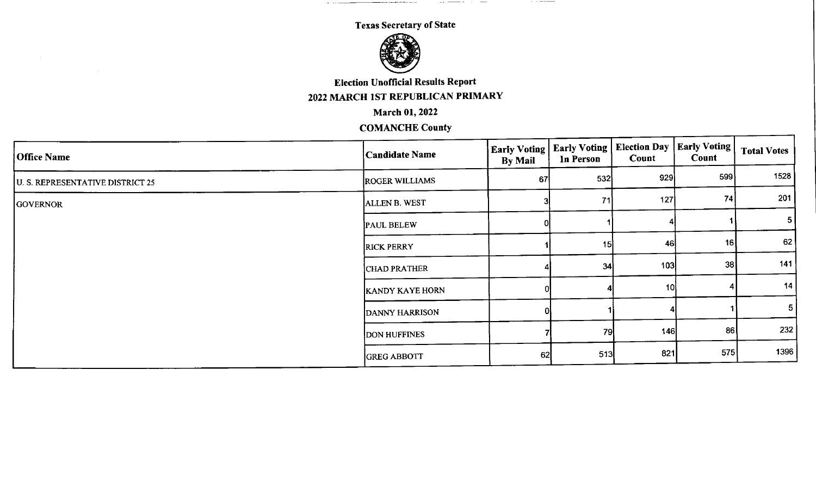un administrativa de la construcción de la construcción de la construcción de la construcción de la construcció

 $\sim$   $\sim$   $\sim$   $\sim$   $\sim$   $\sim$   $\sim$   $\sim$ 



Election Unofficial Results Report

2022 MARCH lST REPUBLICAN PRIMARY

March 01,2022

| <b>Office Name</b>               | <b>Candidate Name</b>  | <b>Early Voting</b><br><b>By Mail</b> | <b>Early Voting</b><br>In Person | <b>Election Day</b><br>Count | Early Voting  <br>Count | <b>Total Votes</b> |
|----------------------------------|------------------------|---------------------------------------|----------------------------------|------------------------------|-------------------------|--------------------|
| U. S. REPRESENTATIVE DISTRICT 25 | <b>ROGER WILLIAMS</b>  | 67                                    | 532                              | 929                          | -599 <b> </b>           | 1528               |
| <b>GOVERNOR</b>                  | <b>ALLEN B. WEST</b>   |                                       | 71                               | 127                          | 74                      | 201                |
|                                  | <b>PAUL BELEW</b>      |                                       |                                  |                              |                         | 5 <sub>l</sub>     |
|                                  | <b>RICK PERRY</b>      |                                       | 15                               | 46                           | 16                      | 62                 |
|                                  | CHAD PRATHER           |                                       | 34                               | 103                          | 38                      | 141                |
|                                  | <b>KANDY KAYE HORN</b> |                                       |                                  | 10                           |                         | 14                 |
|                                  | DANNY HARRISON         | ΩI                                    |                                  |                              |                         | 5                  |
|                                  | <b>DON HUFFINES</b>    |                                       | 79                               | <b>146</b>                   | 86                      | 232                |
|                                  | <b>GREG ABBOTT</b>     | 62                                    | 513                              | 821                          | 575                     | 1396               |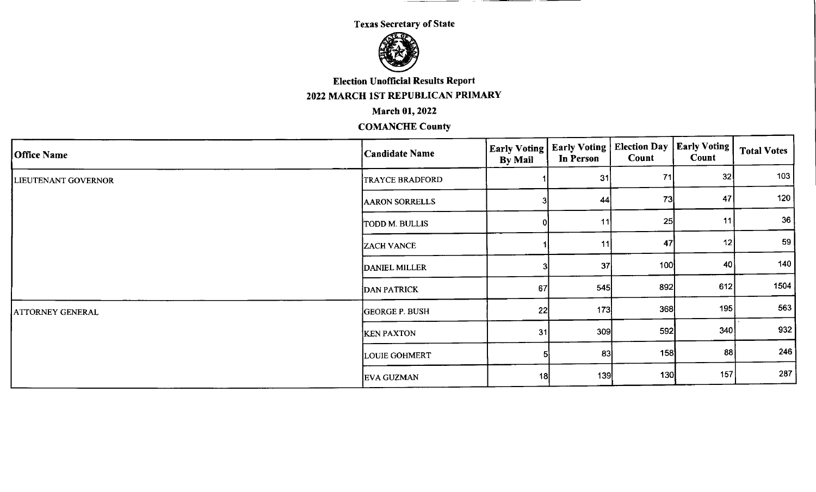

**Election Unofficial Results Report** 

## 2022 MARCH 1ST REPUBLICAN PRIMARY

**March 01, 2022** 

| Office Name         | Candidate Name        | <b>Early Voting</b><br><b>By Mail</b> | Early Voting<br><b>In Person</b> | Election Day   Early Voting  <br>Count | Count | <b>Total Votes</b> |
|---------------------|-----------------------|---------------------------------------|----------------------------------|----------------------------------------|-------|--------------------|
| LIEUTENANT GOVERNOR | TRAYCE BRADFORD       |                                       | 31                               | 71                                     | 32    | 103                |
|                     | <b>AARON SORRELLS</b> |                                       | 44                               | 73                                     | 47    | 120                |
|                     | TODD M. BULLIS        |                                       | 11                               | 25                                     | 11    | 36                 |
|                     | <b>ZACH VANCE</b>     |                                       | 11                               | 47                                     | 12    | 59                 |
|                     | <b>DANIEL MILLER</b>  |                                       | 37                               | 100                                    | 40    | 140                |
|                     | <b>DAN PATRICK</b>    | 67                                    | 545                              | 892                                    | 612   | 1504               |
| ATTORNEY GENERAL    | <b>GEORGE P. BUSH</b> | 22                                    | 173                              | 368                                    | 195   | 563                |
|                     | <b>KEN PAXTON</b>     | 31                                    | 309                              | 592                                    | 340   | 932                |
|                     | <b>LOUIE GOHMERT</b>  |                                       | 83                               | 158                                    | 88    | 246                |
|                     | <b>EVA GUZMAN</b>     | -18                                   | 139                              | 130                                    | 157   | 287                |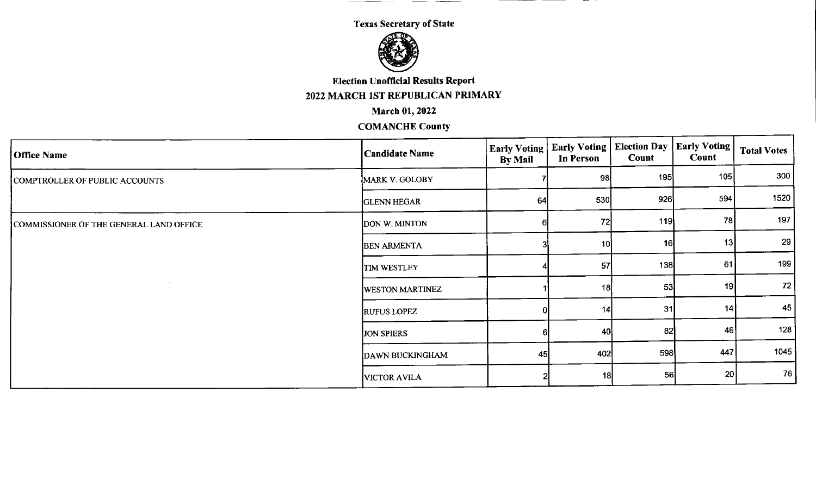$\overline{\phantom{a}}$ 



**Election Unofficial Results Report** 

2022 MARCH lST REPUBLICAN PRIMARY

March 01,2022

| <b>Office Name</b>                      | <b>Candidate Name</b>  | <b>Early Voting</b><br><b>By Mail</b> | <b>Early Voting</b><br>In Person | <b>Election Day   Early Voting  </b><br>Count | <b>Count</b> | <b>Total Votes</b> |
|-----------------------------------------|------------------------|---------------------------------------|----------------------------------|-----------------------------------------------|--------------|--------------------|
| COMPTROLLER OF PUBLIC ACCOUNTS          | MARK V. GOLOBY         |                                       | -98                              | 195                                           | 105          | 300                |
|                                         | <b>GLENN HEGAR</b>     | 64                                    | 530                              | 926                                           | 594          | 1520               |
| COMMISSIONER OF THE GENERAL LAND OFFICE | DON W. MINTON          |                                       | 72                               | 119                                           | <b>78</b>    | 197                |
|                                         | <b>BEN ARMENTA</b>     |                                       | 10                               | 16                                            | 13           | 29                 |
|                                         | <b>TIM WESTLEY</b>     |                                       | 57                               | 138                                           | 61           | 199                |
|                                         | <b>WESTON MARTINEZ</b> |                                       | 18                               | -53                                           | 19           | 72                 |
|                                         | <b>RUFUS LOPEZ</b>     |                                       | 14                               | 31                                            | 14           | 45                 |
|                                         | <b>JON SPIERS</b>      |                                       | 40                               | 82                                            | 46           | 128'               |
|                                         | DAWN BUCKINGHAM        | 45                                    | 402                              | 598                                           | 447          | 1045               |
|                                         | <b>VICTOR AVILA</b>    |                                       | 18                               | 56                                            | 20           | - 76 I             |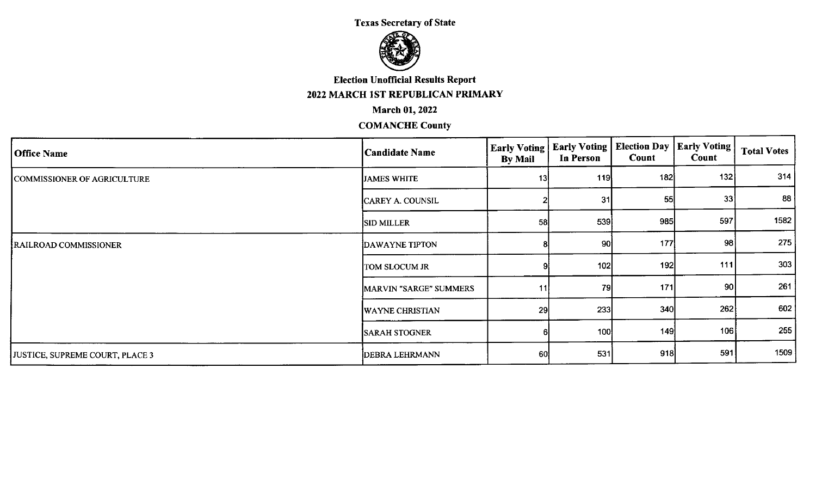

Election Unofficial Results Report

2022 MARCH lST REPUBLICAN PRIMARY

#### March 01,2022

| Office Name                     | <b>Candidate Name</b>  | <b>Early Voting</b><br><b>By Mail</b> | <b>Early Voting</b><br>In Person | Election Day   Early Voting  <br>Count | Count | <b>Total Votes</b> |
|---------------------------------|------------------------|---------------------------------------|----------------------------------|----------------------------------------|-------|--------------------|
| COMMISSIONER OF AGRICULTURE     | <b>JAMES WHITE</b>     | 13                                    | 119                              | 182                                    | 132   | 314                |
|                                 | CAREY A. COUNSIL       |                                       | 31                               | 55                                     | 33    | 88                 |
|                                 | <b>SID MILLER</b>      | 58                                    | 539                              | 985                                    | 597   | 1582               |
| RAILROAD COMMISSIONER           | <b>DAWAYNE TIPTON</b>  |                                       | 90                               | 177                                    | 98    | 275                |
|                                 | TOM SLOCUM JR          |                                       | 102                              | 192                                    | 111   | 303                |
|                                 | MARVIN "SARGE" SUMMERS | 11                                    | 79                               | 171                                    | 90    | 261                |
|                                 | <b>WAYNE CHRISTIAN</b> | 29                                    | 233                              | 340                                    | 262   | 602                |
|                                 | <b>SARAH STOGNER</b>   |                                       | 100                              | 149                                    | 106   | 255                |
| JUSTICE, SUPREME COURT, PLACE 3 | DEBRA LEHRMANN         | 60                                    | 531                              | 918                                    | 591   | 1509               |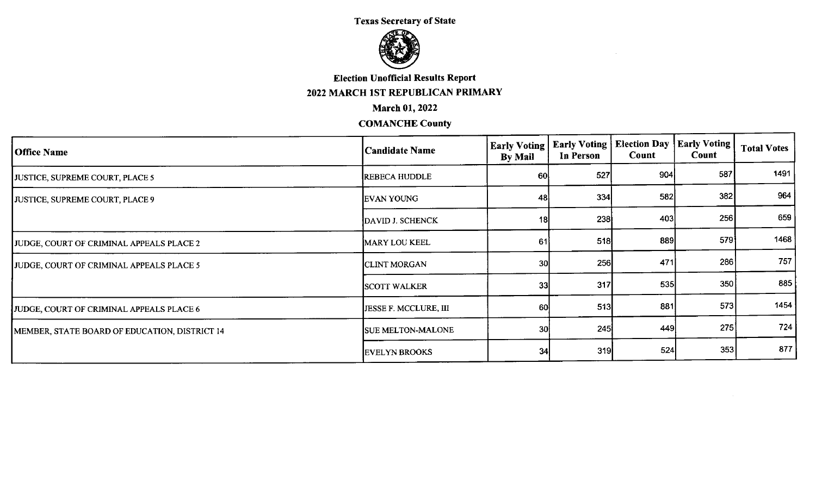

**Election Unofficial Results Report** 2022 MARCH 1ST REPUBLICAN PRIMARY

## **March 01, 2022**

| <b>Office Name</b>                            | Candidate Name               | <b>Early Voting</b><br><b>By Mail</b> | <b>Early Voting</b><br>In Person | <b>Election Day</b><br>Count | <b>Early Voting</b><br><b>Count</b> | <b>Total Votes</b> |
|-----------------------------------------------|------------------------------|---------------------------------------|----------------------------------|------------------------------|-------------------------------------|--------------------|
| JUSTICE, SUPREME COURT, PLACE 5               | <b>REBECA HUDDLE</b>         | 60                                    | 527                              | 904                          | 587                                 | 1491               |
| JUSTICE, SUPREME COURT, PLACE 9               | EVAN YOUNG                   | 48                                    | 334                              | 582                          | 382                                 | 964                |
|                                               | DAVID J. SCHENCK             | 18                                    | 238                              | 403                          | 256                                 | 659                |
| JUDGE, COURT OF CRIMINAL APPEALS PLACE 2      | <b>MARY LOU KEEL</b>         | 61                                    | 518                              | 889                          | 579                                 | 1468               |
| JUDGE, COURT OF CRIMINAL APPEALS PLACE 5      | <b>CLINT MORGAN</b>          | 30 <sub>l</sub>                       | 256                              | 471                          | 286                                 | 757                |
|                                               | <b>SCOTT WALKER</b>          | 33                                    | 317                              | 535                          | 350                                 | 885                |
| JUDGE, COURT OF CRIMINAL APPEALS PLACE 6      | <b>JESSE F. MCCLURE, III</b> | 60                                    | 513                              | 881                          | 573                                 | 1454               |
| MEMBER, STATE BOARD OF EDUCATION, DISTRICT 14 | <b>SUE MELTON-MALONE</b>     | 30 <sup>1</sup>                       | 245                              | 449                          | 275                                 | 724                |
|                                               | <b>EVELYN BROOKS</b>         | 34                                    | 319                              | 524                          | 353                                 | 877                |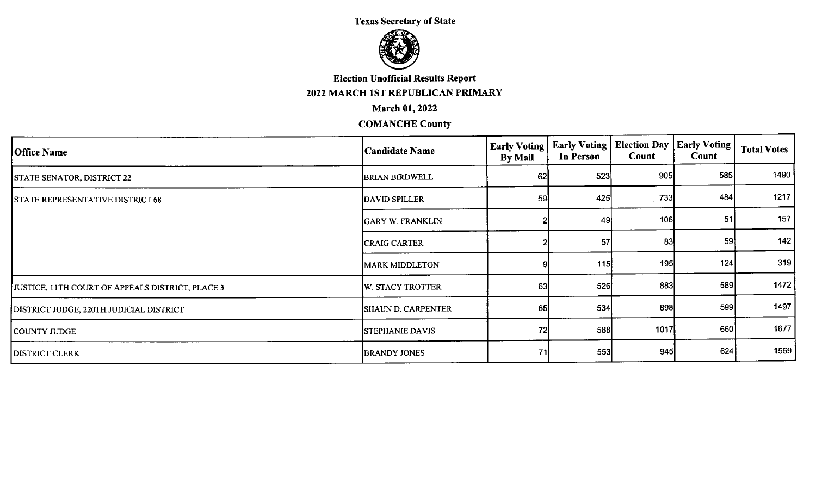$\sim$ 



# **Election Unofficial Results Report**

## 2022 MARCH 1ST REPUBLICAN PRIMARY

## **March 01, 2022**

| <b>Office Name</b>                               | Candidate Name         | <b>Early Voting</b><br><b>By Mail</b> | <b>Early Voting</b><br>In Person | <b>Election Day   Early Voting</b><br>Count | Count | <b>Total Votes</b> |
|--------------------------------------------------|------------------------|---------------------------------------|----------------------------------|---------------------------------------------|-------|--------------------|
| <b>STATE SENATOR, DISTRICT 22</b>                | <b>BRIAN BIRDWELL</b>  | 62                                    | 523                              | 905                                         | 585   | 1490               |
| <b>STATE REPRESENTATIVE DISTRICT 68</b>          | DAVID SPILLER          | 59                                    | 425                              | -733                                        | 484   | 1217               |
|                                                  | GARY W. FRANKLIN       |                                       | 49                               | 106                                         | 51    | 157                |
|                                                  | <b>CRAIG CARTER</b>    |                                       | 57                               | -83                                         | 59    | 142                |
|                                                  | <b>MARK MIDDLETON</b>  |                                       | 115                              | 195                                         | 124   | 319                |
| JUSTICE, 11TH COURT OF APPEALS DISTRICT, PLACE 3 | W. STACY TROTTER       | 63                                    | 526                              | 883                                         | 589   | 1472               |
| DISTRICT JUDGE, 220TH JUDICIAL DISTRICT          | SHAUN D. CARPENTER     | 65                                    | 534                              | 898                                         | 599   | 1497               |
| COUNTY JUDGE                                     | <b>STEPHANIE DAVIS</b> | 72                                    | 588                              | 1017                                        | 660   | 1677               |
| <b>DISTRICT CLERK</b>                            | <b>BRANDY JONES</b>    | 71                                    | 553                              | 945                                         | 624   | 1569               |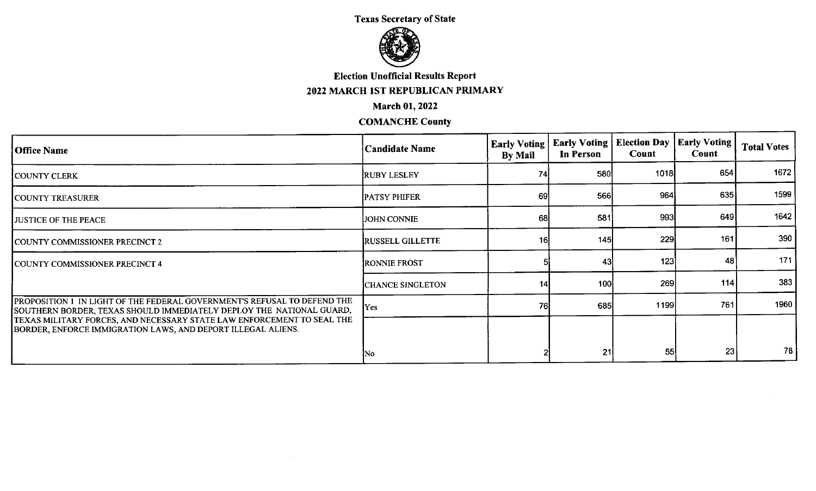

## **Election Unofficial Results Report**

## 2022 MARCH IST REPUBLICAN PRIMARY

## **March 01, 2022**

| <b>Office Name</b>                                                                                                                                                                                                                                                                         | Candidate Name           | <b>Early Voting</b><br>By Mail | <b>Early Voting   Election Day</b><br>In Person | Count | <b>Early Voting</b><br>Count | <b>Total Votes</b> |
|--------------------------------------------------------------------------------------------------------------------------------------------------------------------------------------------------------------------------------------------------------------------------------------------|--------------------------|--------------------------------|-------------------------------------------------|-------|------------------------------|--------------------|
| COUNTY CLERK                                                                                                                                                                                                                                                                               | <b>RUBY LESLEY</b>       | 74                             | 580                                             | 1018  | 654                          | 1672               |
| COUNTY TREASURER                                                                                                                                                                                                                                                                           | <b>PATSY PHIFER</b>      | 69                             | 566                                             | 964   | 635                          | 1599               |
| <b>JUSTICE OF THE PEACE</b>                                                                                                                                                                                                                                                                | JOHN CONNIE              | 68                             | 581                                             | 993   | 649                          | 1642               |
| COUNTY COMMISSIONER PRECINCT 2                                                                                                                                                                                                                                                             | <b>IRUSSELL GILLETTE</b> | 16                             | 145                                             | 229   | 161                          | 390                |
|                                                                                                                                                                                                                                                                                            | <b>RONNIE FROST</b>      |                                | 43                                              | 123   | 48                           | 171                |
| COUNTY COMMISSIONER PRECINCT 4                                                                                                                                                                                                                                                             | CHANCE SINGLETON         | 14                             | 100                                             | 269   | 114                          | 383                |
| PROPOSITION 1 IN LIGHT OF THE FEDERAL GOVERNMENT'S REFUSAL TO DEFEND THE<br>SOUTHERN BORDER, TEXAS SHOULD IMMEDIATELY DEPLOY THE NATIONAL GUARD,<br>TEXAS MILITARY FORCES, AND NECESSARY STATE LAW ENFORCEMENT TO SEAL THE<br>BORDER, ENFORCE IMMIGRATION LAWS, AND DEPORT ILLEGAL ALIENS. | Yes                      | 76I                            | 685                                             | 1199  | 761                          | 1960               |
|                                                                                                                                                                                                                                                                                            |                          |                                |                                                 |       |                              |                    |
|                                                                                                                                                                                                                                                                                            | No                       |                                | 21                                              | 55    | 23                           | 78                 |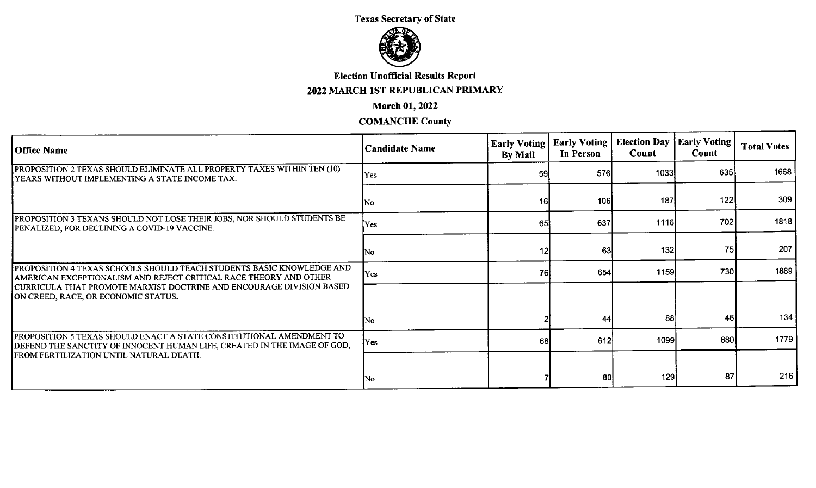

#### Election Unofficial Results Report

## 2022 MARCH IST REPUBLICAN PRIMARY

#### March 01, 2022

| <b>Office Name</b>                                                                                                                               | <b>Candidate Name</b> | <b>Early Voting</b><br>By Mail | Early Voting<br>In Person | Election Day   Early Voting<br>Count | Count | <b>Total Votes</b> |
|--------------------------------------------------------------------------------------------------------------------------------------------------|-----------------------|--------------------------------|---------------------------|--------------------------------------|-------|--------------------|
| PROPOSITION 2 TEXAS SHOULD ELIMINATE ALL PROPERTY TAXES WITHIN TEN (10)<br>YEARS WITHOUT IMPLEMENTING A STATE INCOME TAX.                        | Yes                   | 59                             | 576                       | 1033                                 | 635   | 1668               |
|                                                                                                                                                  | No                    | 16                             | 106                       | 187                                  | 122   | 309                |
| PROPOSITION 3 TEXANS SHOULD NOT LOSE THEIR JOBS, NOR SHOULD STUDENTS BE<br>PENALIZED, FOR DECLINING A COVID-19 VACCINE.                          | Yes                   | 65                             | 637                       | 1116                                 | 702   | 1818               |
|                                                                                                                                                  | INo.                  | $12 \overline{)}$              | 63                        | 132                                  | 75    | 207                |
| PROPOSITION 4 TEXAS SCHOOLS SHOULD TEACH STUDENTS BASIC KNOWLEDGE AND<br>AMERICAN EXCEPTIONALISM AND REJECT CRITICAL RACE THEORY AND OTHER       | Yes                   | <b>76</b>                      | 654                       | 1159                                 | 730   | 1889               |
| CURRICULA THAT PROMOTE MARXIST DOCTRINE AND ENCOURAGE DIVISION BASED<br>ON CREED, RACE, OR ECONOMIC STATUS.                                      |                       |                                |                           |                                      |       |                    |
|                                                                                                                                                  | INo.                  |                                | 44                        | 88                                   | 46    | 134                |
| PROPOSITION 5 TEXAS SHOULD ENACT A STATE CONSTITUTIONAL AMENDMENT TO<br>DEFEND THE SANCTITY OF INNOCENT HUMAN LIFE, CREATED IN THE IMAGE OF GOD, | Yes                   | 68                             | 612                       | 1099                                 | 680   | 1779               |
| <b>FROM FERTILIZATION UNTIL NATURAL DEATH.</b>                                                                                                   |                       |                                |                           |                                      |       |                    |
|                                                                                                                                                  | No                    |                                | -80                       | 129                                  | 87    | 216                |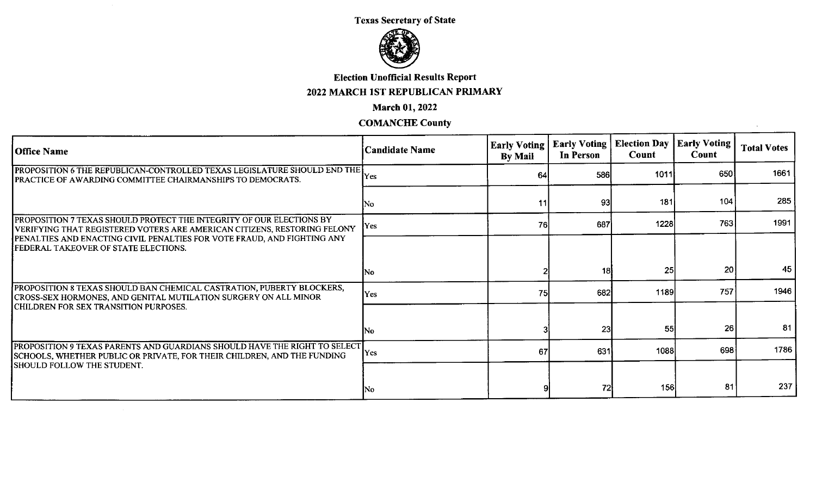

## Election Unofficial Results Report

# 2022 MARCH 1ST REPUBLICAN PRIMARY

#### March 01, 2022

## COMANCHE County

 $\sim$ 

| <b>Office Name</b>                                                                                                                                      | <b>Candidate Name</b> | <b>Early Voting</b><br><b>By Mail</b> | <b>Early Voting</b><br>In Person | <b>Election Day</b><br><b>Count</b> | <b>Early Voting</b><br>Count | <b>Total Votes</b> |
|---------------------------------------------------------------------------------------------------------------------------------------------------------|-----------------------|---------------------------------------|----------------------------------|-------------------------------------|------------------------------|--------------------|
| <b>PROPOSITION 6 THE REPUBLICAN-CONTROLLED TEXAS LEGISLATURE SHOULD END THE</b><br><b>PRACTICE OF AWARDING COMMITTEE CHAIRMANSHIPS TO DEMOCRATS.</b>    | lYes                  | 64                                    | 586                              | 1011                                | 650                          | 1661               |
|                                                                                                                                                         | No                    | 11                                    | -93                              | 181                                 | 104                          | 285                |
| <b>PROPOSITION 7 TEXAS SHOULD PROTECT THE INTEGRITY OF OUR ELECTIONS BY</b><br>VERIFYING THAT REGISTERED VOTERS ARE AMERICAN CITIZENS, RESTORING FELONY | Yes                   | 76                                    | 687                              | 1228                                | 763                          | 1991               |
| PENALTIES AND ENACTING CIVIL PENALTIES FOR VOTE FRAUD, AND FIGHTING ANY<br>FEDERAL TAKEOVER OF STATE ELECTIONS.                                         |                       |                                       |                                  |                                     |                              |                    |
|                                                                                                                                                         | INo.                  |                                       | 18i                              | 25                                  | 20 <sub>1</sub>              | 45                 |
| PROPOSITION 8 TEXAS SHOULD BAN CHEMICAL CASTRATION, PUBERTY BLOCKERS,<br>CROSS-SEX HORMONES, AND GENITAL MUTILATION SURGERY ON ALL MINOR                | Yes                   | 75                                    | 682                              | 1189                                | 757                          | 1946               |
| CHILDREN FOR SEX TRANSITION PURPOSES.                                                                                                                   | INo.                  |                                       | 23                               | 55                                  | 26                           | 81                 |
| PROPOSITION 9 TEXAS PARENTS AND GUARDIANS SHOULD HAVE THE RIGHT TO SELECT<br>SCHOOLS, WHETHER PUBLIC OR PRIVATE, FOR THEIR CHILDREN, AND THE FUNDING    | <b>Yes</b>            | 67                                    | 631                              | 1088                                | 698                          | 1786               |
| <b>SHOULD FOLLOW THE STUDENT.</b>                                                                                                                       | No                    |                                       | 72                               | 156                                 | 81                           | 237                |